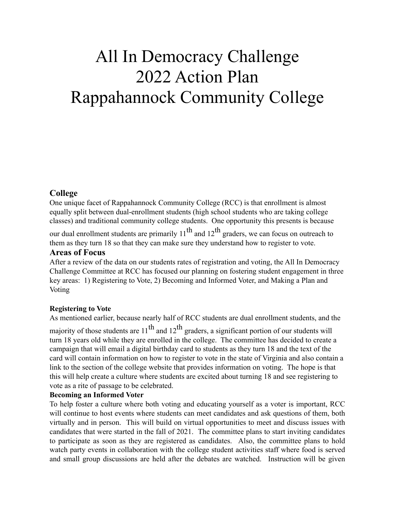# All In Democracy Challenge 2022 Action Plan Rappahannock Community College

## **College**

One unique facet of Rappahannock Community College (RCC) is that enrollment is almost equally split between dual-enrollment students (high school students who are taking college classes) and traditional community college students. One opportunity this presents is because

our dual enrollment students are primarily  $11^{th}$  and  $12^{th}$  graders, we can focus on outreach to them as they turn 18 so that they can make sure they understand how to register to vote.

#### **Areas of Focus**

After a review of the data on our students rates of registration and voting, the All In Democracy Challenge Committee at RCC has focused our planning on fostering student engagement in three key areas: 1) Registering to Vote, 2) Becoming and Informed Voter, and Making a Plan and Voting

#### **Registering to Vote**

As mentioned earlier, because nearly half of RCC students are dual enrollment students, and the

majority of those students are  $11<sup>th</sup>$  and  $12<sup>th</sup>$  graders, a significant portion of our students will turn 18 years old while they are enrolled in the college. The committee has decided to create a campaign that will email a digital birthday card to students as they turn 18 and the text of the card will contain information on how to register to vote in the state of Virginia and also contain a link to the section of the college website that provides information on voting. The hope is that this will help create a culture where students are excited about turning 18 and see registering to vote as a rite of passage to be celebrated.

#### **Becoming an Informed Voter**

To help foster a culture where both voting and educating yourself as a voter is important, RCC will continue to host events where students can meet candidates and ask questions of them, both virtually and in person. This will build on virtual opportunities to meet and discuss issues with candidates that were started in the fall of 2021. The committee plans to start inviting candidates to participate as soon as they are registered as candidates. Also, the committee plans to hold watch party events in collaboration with the college student activities staff where food is served and small group discussions are held after the debates are watched. Instruction will be given